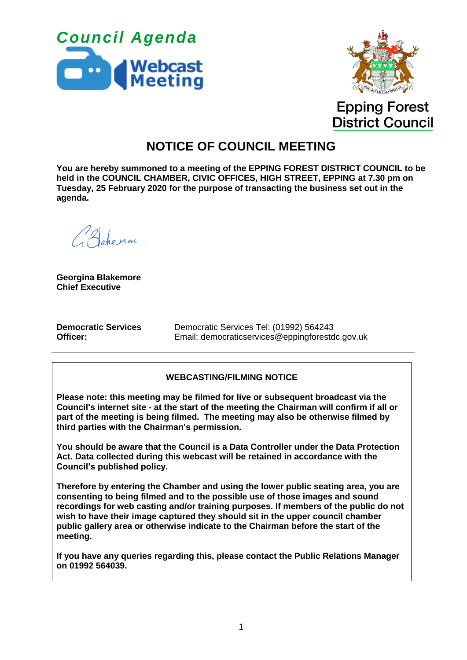



**Epping Forest District Council** 

# **NOTICE OF COUNCIL MEETING**

**You are hereby summoned to a meeting of the EPPING FOREST DISTRICT COUNCIL to be held in the COUNCIL CHAMBER, CIVIC OFFICES, HIGH STREET, EPPING at 7.30 pm on Tuesday, 25 February 2020 for the purpose of transacting the business set out in the agenda.**

Bahera

**Georgina Blakemore Chief Executive**

**Democratic Services Officer:**

Democratic Services Tel: (01992) 564243 Email: democraticservices@eppingforestdc.gov.uk

### **WEBCASTING/FILMING NOTICE**

**Please note: this meeting may be filmed for live or subsequent broadcast via the Council's internet site - at the start of the meeting the Chairman will confirm if all or part of the meeting is being filmed. The meeting may also be otherwise filmed by third parties with the Chairman's permission.**

**You should be aware that the Council is a Data Controller under the Data Protection Act. Data collected during this webcast will be retained in accordance with the Council's published policy.**

**Therefore by entering the Chamber and using the lower public seating area, you are consenting to being filmed and to the possible use of those images and sound recordings for web casting and/or training purposes. If members of the public do not wish to have their image captured they should sit in the upper council chamber public gallery area or otherwise indicate to the Chairman before the start of the meeting.**

**If you have any queries regarding this, please contact the Public Relations Manager on 01992 564039.**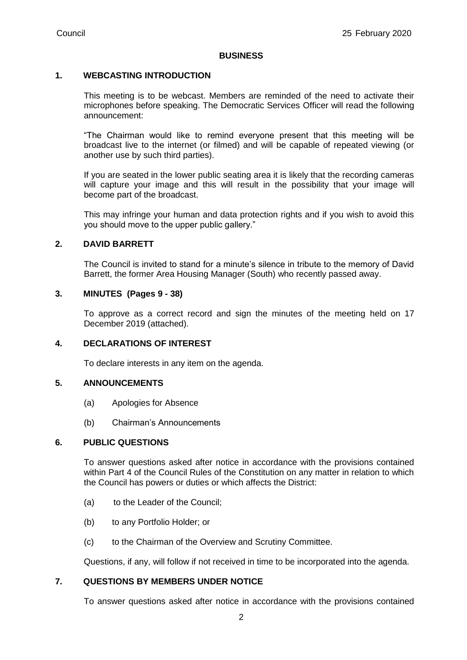#### **BUSINESS**

### **1. WEBCASTING INTRODUCTION**

This meeting is to be webcast. Members are reminded of the need to activate their microphones before speaking. The Democratic Services Officer will read the following announcement:

"The Chairman would like to remind everyone present that this meeting will be broadcast live to the internet (or filmed) and will be capable of repeated viewing (or another use by such third parties).

If you are seated in the lower public seating area it is likely that the recording cameras will capture your image and this will result in the possibility that your image will become part of the broadcast.

This may infringe your human and data protection rights and if you wish to avoid this you should move to the upper public gallery."

### **2. DAVID BARRETT**

The Council is invited to stand for a minute's silence in tribute to the memory of David Barrett, the former Area Housing Manager (South) who recently passed away.

### **3. MINUTES (Pages 9 - 38)**

To approve as a correct record and sign the minutes of the meeting held on 17 December 2019 (attached).

### **4. DECLARATIONS OF INTEREST**

To declare interests in any item on the agenda.

### **5. ANNOUNCEMENTS**

- (a) Apologies for Absence
- (b) Chairman's Announcements

### **6. PUBLIC QUESTIONS**

To answer questions asked after notice in accordance with the provisions contained within Part 4 of the Council Rules of the Constitution on any matter in relation to which the Council has powers or duties or which affects the District:

- (a) to the Leader of the Council;
- (b) to any Portfolio Holder; or
- (c) to the Chairman of the Overview and Scrutiny Committee.

Questions, if any, will follow if not received in time to be incorporated into the agenda.

### **7. QUESTIONS BY MEMBERS UNDER NOTICE**

To answer questions asked after notice in accordance with the provisions contained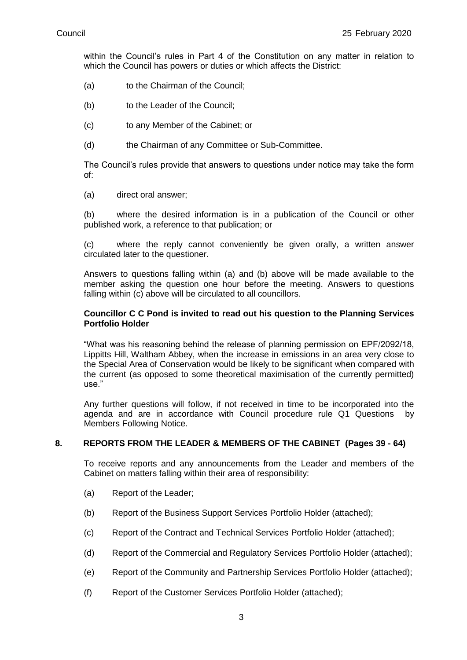within the Council's rules in Part 4 of the Constitution on any matter in relation to which the Council has powers or duties or which affects the District:

- (a) to the Chairman of the Council;
- (b) to the Leader of the Council;
- (c) to any Member of the Cabinet; or
- (d) the Chairman of any Committee or Sub-Committee.

The Council's rules provide that answers to questions under notice may take the form of:

(a) direct oral answer;

(b) where the desired information is in a publication of the Council or other published work, a reference to that publication; or

(c) where the reply cannot conveniently be given orally, a written answer circulated later to the questioner.

Answers to questions falling within (a) and (b) above will be made available to the member asking the question one hour before the meeting. Answers to questions falling within (c) above will be circulated to all councillors.

#### **Councillor C C Pond is invited to read out his question to the Planning Services Portfolio Holder**

"What was his reasoning behind the release of planning permission on EPF/2092/18, Lippitts Hill, Waltham Abbey, when the increase in emissions in an area very close to the Special Area of Conservation would be likely to be significant when compared with the current (as opposed to some theoretical maximisation of the currently permitted) use."

Any further questions will follow, if not received in time to be incorporated into the agenda and are in accordance with Council procedure rule Q1 Questions by Members Following Notice.

#### **8. REPORTS FROM THE LEADER & MEMBERS OF THE CABINET (Pages 39 - 64)**

To receive reports and any announcements from the Leader and members of the Cabinet on matters falling within their area of responsibility:

- (a) Report of the Leader;
- (b) Report of the Business Support Services Portfolio Holder (attached);
- (c) Report of the Contract and Technical Services Portfolio Holder (attached);
- (d) Report of the Commercial and Regulatory Services Portfolio Holder (attached);
- (e) Report of the Community and Partnership Services Portfolio Holder (attached);
- (f) Report of the Customer Services Portfolio Holder (attached);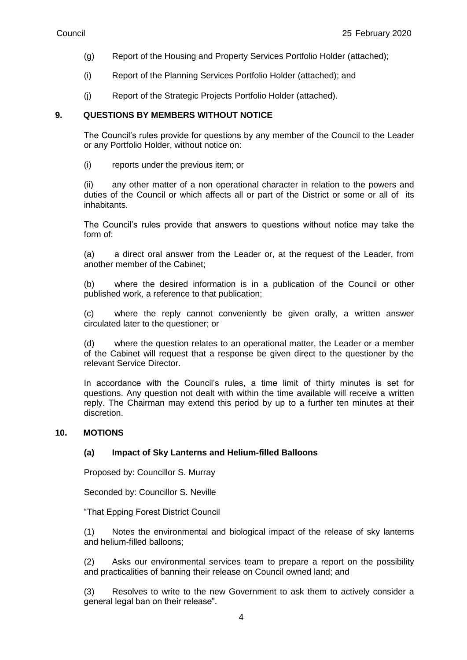- (g) Report of the Housing and Property Services Portfolio Holder (attached);
- (i) Report of the Planning Services Portfolio Holder (attached); and
- (j) Report of the Strategic Projects Portfolio Holder (attached).

### **9. QUESTIONS BY MEMBERS WITHOUT NOTICE**

The Council's rules provide for questions by any member of the Council to the Leader or any Portfolio Holder, without notice on:

(i) reports under the previous item; or

(ii) any other matter of a non operational character in relation to the powers and duties of the Council or which affects all or part of the District or some or all of its inhabitants.

The Council's rules provide that answers to questions without notice may take the form of:

(a) a direct oral answer from the Leader or, at the request of the Leader, from another member of the Cabinet;

(b) where the desired information is in a publication of the Council or other published work, a reference to that publication;

(c) where the reply cannot conveniently be given orally, a written answer circulated later to the questioner; or

(d) where the question relates to an operational matter, the Leader or a member of the Cabinet will request that a response be given direct to the questioner by the relevant Service Director.

In accordance with the Council's rules, a time limit of thirty minutes is set for questions. Any question not dealt with within the time available will receive a written reply. The Chairman may extend this period by up to a further ten minutes at their discretion.

### **10. MOTIONS**

### **(a) Impact of Sky Lanterns and Helium-filled Balloons**

Proposed by: Councillor S. Murray

Seconded by: Councillor S. Neville

"That Epping Forest District Council

(1) Notes the environmental and biological impact of the release of sky lanterns and helium-filled balloons;

(2) Asks our environmental services team to prepare a report on the possibility and practicalities of banning their release on Council owned land; and

(3) Resolves to write to the new Government to ask them to actively consider a general legal ban on their release".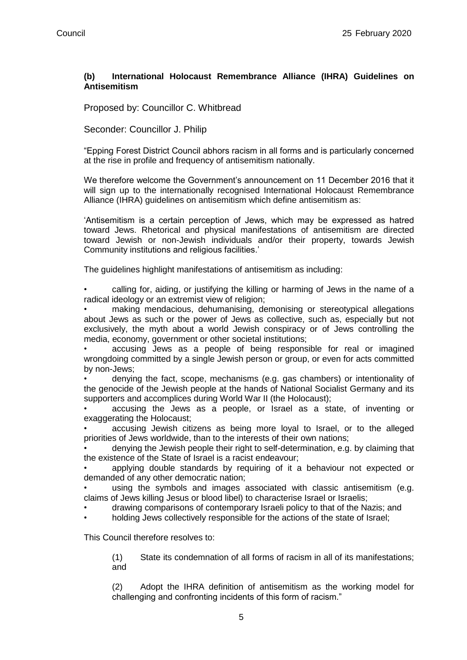### **(b) International Holocaust Remembrance Alliance (IHRA) Guidelines on Antisemitism**

Proposed by: Councillor C. Whitbread

Seconder: Councillor J. Philip

"Epping Forest District Council abhors racism in all forms and is particularly concerned at the rise in profile and frequency of antisemitism nationally.

We therefore welcome the Government's announcement on 11 December 2016 that it will sign up to the internationally recognised International Holocaust Remembrance Alliance (IHRA) guidelines on antisemitism which define antisemitism as:

'Antisemitism is a certain perception of Jews, which may be expressed as hatred toward Jews. Rhetorical and physical manifestations of antisemitism are directed toward Jewish or non-Jewish individuals and/or their property, towards Jewish Community institutions and religious facilities.'

The guidelines highlight manifestations of antisemitism as including:

• calling for, aiding, or justifying the killing or harming of Jews in the name of a radical ideology or an extremist view of religion;

• making mendacious, dehumanising, demonising or stereotypical allegations about Jews as such or the power of Jews as collective, such as, especially but not exclusively, the myth about a world Jewish conspiracy or of Jews controlling the media, economy, government or other societal institutions;

• accusing Jews as a people of being responsible for real or imagined wrongdoing committed by a single Jewish person or group, or even for acts committed by non-Jews;

• denying the fact, scope, mechanisms (e.g. gas chambers) or intentionality of the genocide of the Jewish people at the hands of National Socialist Germany and its supporters and accomplices during World War II (the Holocaust);

• accusing the Jews as a people, or Israel as a state, of inventing or exaggerating the Holocaust;

• accusing Jewish citizens as being more loyal to Israel, or to the alleged priorities of Jews worldwide, than to the interests of their own nations;

• denying the Jewish people their right to self-determination, e.g. by claiming that the existence of the State of Israel is a racist endeavour;

• applying double standards by requiring of it a behaviour not expected or demanded of any other democratic nation;

• using the symbols and images associated with classic antisemitism (e.g. claims of Jews killing Jesus or blood libel) to characterise Israel or Israelis;

• drawing comparisons of contemporary Israeli policy to that of the Nazis; and

• holding Jews collectively responsible for the actions of the state of Israel;

This Council therefore resolves to:

(1) State its condemnation of all forms of racism in all of its manifestations; and

(2) Adopt the IHRA definition of antisemitism as the working model for challenging and confronting incidents of this form of racism."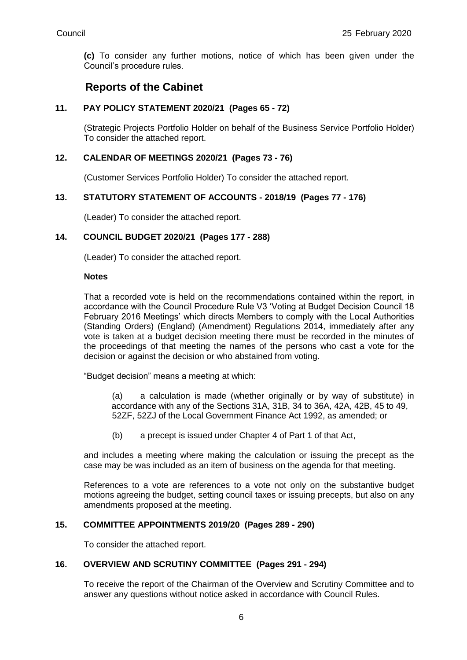**(c)** To consider any further motions, notice of which has been given under the Council's procedure rules.

## **Reports of the Cabinet**

### **11. PAY POLICY STATEMENT 2020/21 (Pages 65 - 72)**

(Strategic Projects Portfolio Holder on behalf of the Business Service Portfolio Holder) To consider the attached report.

### **12. CALENDAR OF MEETINGS 2020/21 (Pages 73 - 76)**

(Customer Services Portfolio Holder) To consider the attached report.

### **13. STATUTORY STATEMENT OF ACCOUNTS - 2018/19 (Pages 77 - 176)**

(Leader) To consider the attached report.

### **14. COUNCIL BUDGET 2020/21 (Pages 177 - 288)**

(Leader) To consider the attached report.

#### **Notes**

That a recorded vote is held on the recommendations contained within the report, in accordance with the Council Procedure Rule V3 'Voting at Budget Decision Council 18 February 2016 Meetings' which directs Members to comply with the Local Authorities (Standing Orders) (England) (Amendment) Regulations 2014, immediately after any vote is taken at a budget decision meeting there must be recorded in the minutes of the proceedings of that meeting the names of the persons who cast a vote for the decision or against the decision or who abstained from voting.

"Budget decision" means a meeting at which:

(a) a calculation is made (whether originally or by way of substitute) in accordance with any of the Sections 31A, 31B, 34 to 36A, 42A, 42B, 45 to 49, 52ZF, 52ZJ of the Local Government Finance Act 1992, as amended; or

(b) a precept is issued under Chapter 4 of Part 1 of that Act,

and includes a meeting where making the calculation or issuing the precept as the case may be was included as an item of business on the agenda for that meeting.

References to a vote are references to a vote not only on the substantive budget motions agreeing the budget, setting council taxes or issuing precepts, but also on any amendments proposed at the meeting.

### **15. COMMITTEE APPOINTMENTS 2019/20 (Pages 289 - 290)**

To consider the attached report.

### **16. OVERVIEW AND SCRUTINY COMMITTEE (Pages 291 - 294)**

To receive the report of the Chairman of the Overview and Scrutiny Committee and to answer any questions without notice asked in accordance with Council Rules.